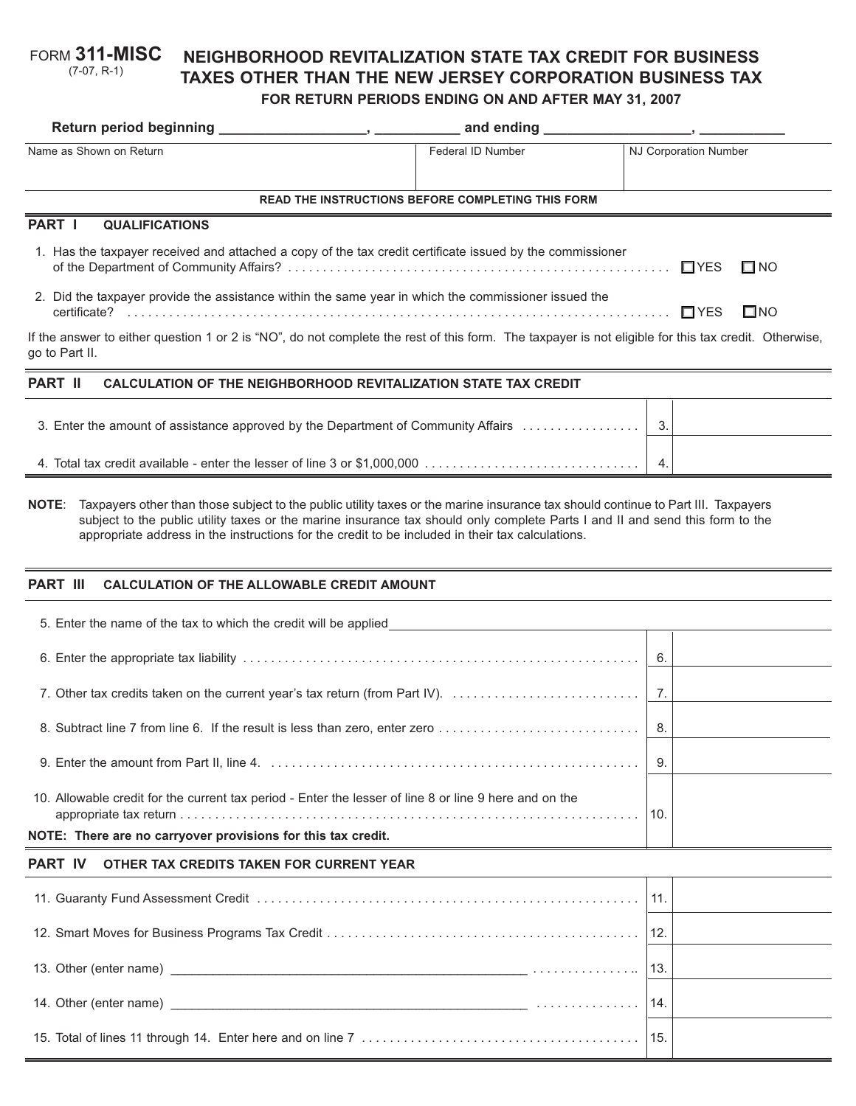#### **NEIGHBORHOOD REVITALIZATION STATE TAX CREDIT FOR BUSINESS TAXES OTHER THAN THE NEW JERSEY CORPORATION BUSINESS TAX FOR RETURN PERIODS ENDING ON AND AFTER MAY 31, 2007** FORM **311-MISC** (7-07, R-1)

# Name as Shown on Return Federal ID Number NJ Corporation Number NJ Corporation Number **PART I QUALIFICATIONS** 1. Has the taxpayer received and attached a copy of the tax credit certificate issued by the commissioner of the Department of Community Affairs? . . . . . . . . . . . . . . . . . . . . . . . . . . . . . . . . . . . . . . . . . . . . . . . . . . . . . . . - YES - $\square$  NO 2. Did the taxpayer provide the assistance within the same year in which the commissioner issued the certificate? . . . . . . . . . . . . . . . . . . . . . . . . . . . . . . . . . . . . . . . . . . . . . . . . . . . . . . . . . . . . . . . . . . . . . . . . . . . . . . - YES - $\square$ NO If the answer to either question 1 or 2 is "NO", do not complete the rest of this form. The taxpayer is not eligible for this tax credit. Otherwise, **READ THE INSTRUCTIONS BEFORE COMPLETING THIS FORM Return period beginning \_\_\_\_\_\_\_\_\_\_\_\_\_\_\_\_\_\_\_, \_\_\_\_\_\_\_\_\_\_\_ and ending \_\_\_\_\_\_\_\_\_\_\_\_\_\_\_\_\_\_\_, \_\_\_\_\_\_\_\_\_\_\_**

go to Part II.

## **PART II CALCULATION OF THE NEIGHBORHOOD REVITALIZATION STATE TAX CREDIT**

**NOTE**: Taxpayers other than those subject to the public utility taxes or the marine insurance tax should continue to Part III. Taxpayers subject to the public utility taxes or the marine insurance tax should only complete Parts I and II and send this form to the appropriate address in the instructions for the credit to be included in their tax calculations.

### **PART III CALCULATION OF THE ALLOWABLE CREDIT AMOUNT**

| NOTE: There are no carryover provisions for this tax credit.                                           |    |  |
|--------------------------------------------------------------------------------------------------------|----|--|
| 10. Allowable credit for the current tax period - Enter the lesser of line 8 or line 9 here and on the |    |  |
|                                                                                                        | 9. |  |
| 8. Subtract line 7 from line 6. If the result is less than zero, enter zero                            | 8. |  |
|                                                                                                        |    |  |
|                                                                                                        | 6. |  |
| 5. Enter the name of the tax to which the credit will be applied                                       |    |  |

## **PART IV OTHER TAX CREDITS TAKEN FOR CURRENT YEAR**

| 12. |  |
|-----|--|
| 13. |  |
|     |  |
|     |  |